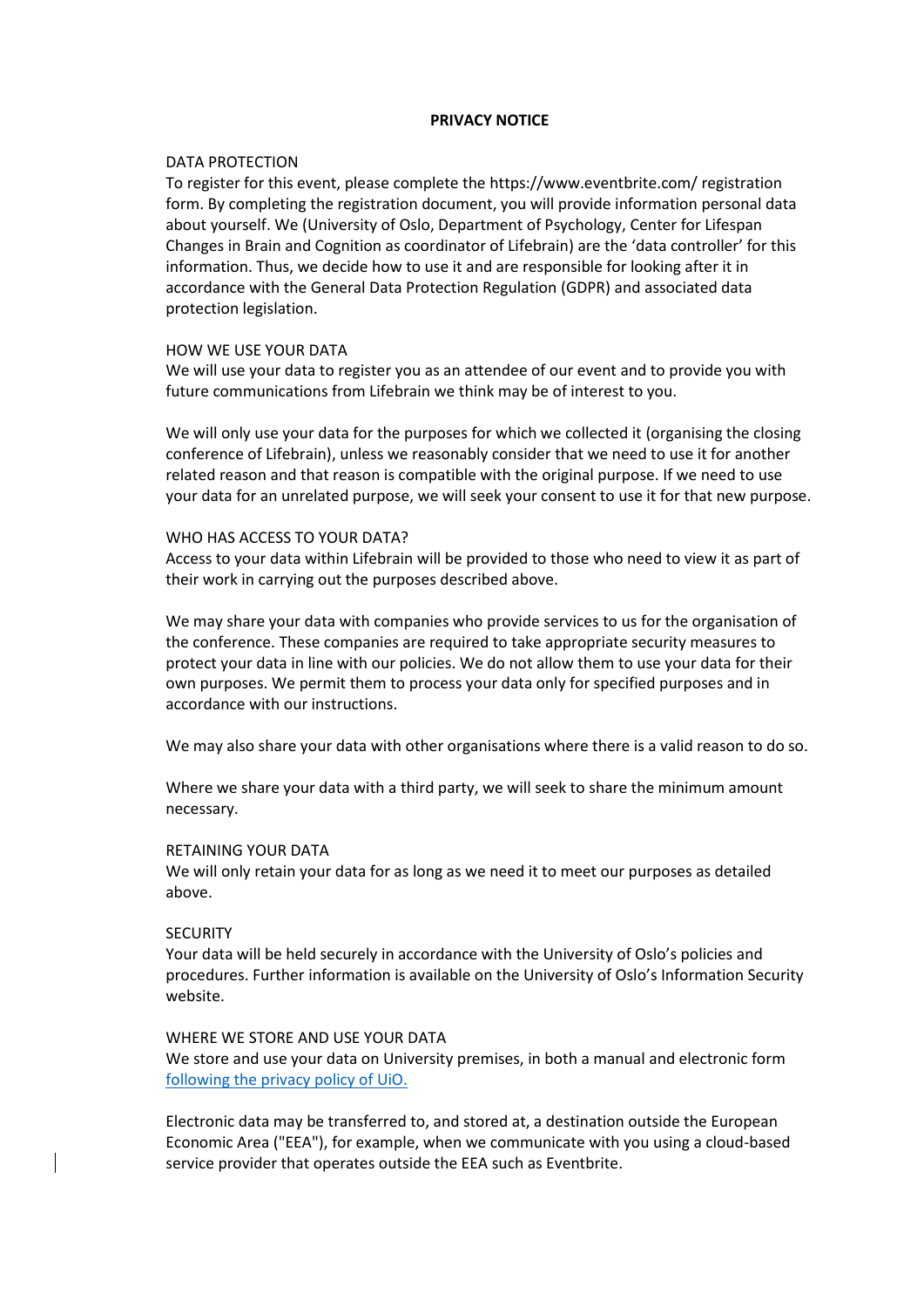# **PRIVACY NOTICE**

# DATA PROTECTION

To register for this event, please complete the https://www.eventbrite.com/ registration form. By completing the registration document, you will provide information personal data about yourself. We (University of Oslo, Department of Psychology, Center for Lifespan Changes in Brain and Cognition as coordinator of Lifebrain) are the 'data controller' for this information. Thus, we decide how to use it and are responsible for looking after it in accordance with the General Data Protection Regulation (GDPR) and associated data protection legislation.

# HOW WE USE YOUR DATA

We will use your data to register you as an attendee of our event and to provide you with future communications from Lifebrain we think may be of interest to you.

We will only use your data for the purposes for which we collected it (organising the closing conference of Lifebrain), unless we reasonably consider that we need to use it for another related reason and that reason is compatible with the original purpose. If we need to use your data for an unrelated purpose, we will seek your consent to use it for that new purpose.

# WHO HAS ACCESS TO YOUR DATA?

Access to your data within Lifebrain will be provided to those who need to view it as part of their work in carrying out the purposes described above.

We may share your data with companies who provide services to us for the organisation of the conference. These companies are required to take appropriate security measures to protect your data in line with our policies. We do not allow them to use your data for their own purposes. We permit them to process your data only for specified purposes and in accordance with our instructions.

We may also share your data with other organisations where there is a valid reason to do so.

Where we share your data with a third party, we will seek to share the minimum amount necessary.

#### RETAINING YOUR DATA

We will only retain your data for as long as we need it to meet our purposes as detailed above.

#### **SECURITY**

Your data will be held securely in accordance with the University of Oslo's policies and procedures. Further information is available on the University of Oslo's Information Security website.

# WHERE WE STORE AND USE YOUR DATA

We store and use your data on University premises, in both a manual and electronic form [following the privacy policy of UiO.](https://www.uio.no/english/for-employees/support/privacy-dataprotection/more-about-privacy/privacy-at-uio.html)

Electronic data may be transferred to, and stored at, a destination outside the European Economic Area ("EEA"), for example, when we communicate with you using a cloud-based service provider that operates outside the EEA such as Eventbrite.